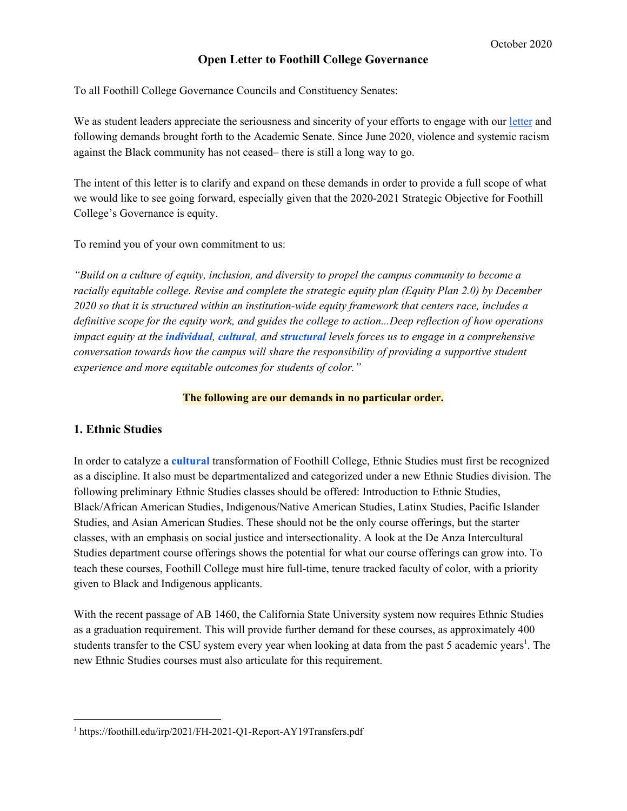### **Open Letter to Foothill College Governance**

To all Foothill College Governance Councils and Constituency Senates:

We as student leaders appreciate the seriousness and sincerity of your efforts to engage with our [letter](https://foothill.edu/gov/academic-senate/2019-20/jun15/OpenLetterToFoothillCollegeAcademicSenate.pdf) and following demands brought forth to the Academic Senate. Since June 2020, violence and systemic racism against the Black community has not ceased– there is still a long way to go.

The intent of this letter is to clarify and expand on these demands in order to provide a full scope of what we would like to see going forward, especially given that the 2020-2021 Strategic Objective for Foothill College's Governance is equity.

To remind you of your own commitment to us:

*"Build on a culture of equity, inclusion, and diversity to propel the campus community to become a racially equitable college. Revise and complete the strategic equity plan (Equity Plan 2.0) by December 2020 so that it is structured within an institution-wide equity framework that centers race, includes a definitive scope for the equity work, and guides the college to action...Deep reflection of how operations* impact equity at the *individual, cultural, and structural levels forces us to engage in a comprehensive conversation towards how the campus will share the responsibility of providing a supportive student experience and more equitable outcomes for students of color."*

#### **The following are our demands in no particular order.**

### **1. Ethnic Studies**

In order to catalyze a **cultural** transformation of Foothill College, Ethnic Studies must first be recognized as a discipline. It also must be departmentalized and categorized under a new Ethnic Studies division. The following preliminary Ethnic Studies classes should be offered: Introduction to Ethnic Studies, Black/African American Studies, Indigenous/Native American Studies, Latinx Studies, Pacific Islander Studies, and Asian American Studies. These should not be the only course offerings, but the starter classes, with an emphasis on social justice and intersectionality. A look at the De Anza Intercultural Studies department course offerings shows the potential for what our course offerings can grow into. To teach these courses, Foothill College must hire full-time, tenure tracked faculty of color, with a priority given to Black and Indigenous applicants.

With the recent passage of AB 1460, the California State University system now requires Ethnic Studies as a graduation requirement. This will provide further demand for these courses, as approximately 400 students transfer to the CSU system every year when looking at data from the past 5 academic years<sup>1</sup>. The new Ethnic Studies courses must also articulate for this requirement.

<sup>1</sup> https://foothill.edu/irp/2021/FH-2021-Q1-Report-AY19Transfers.pdf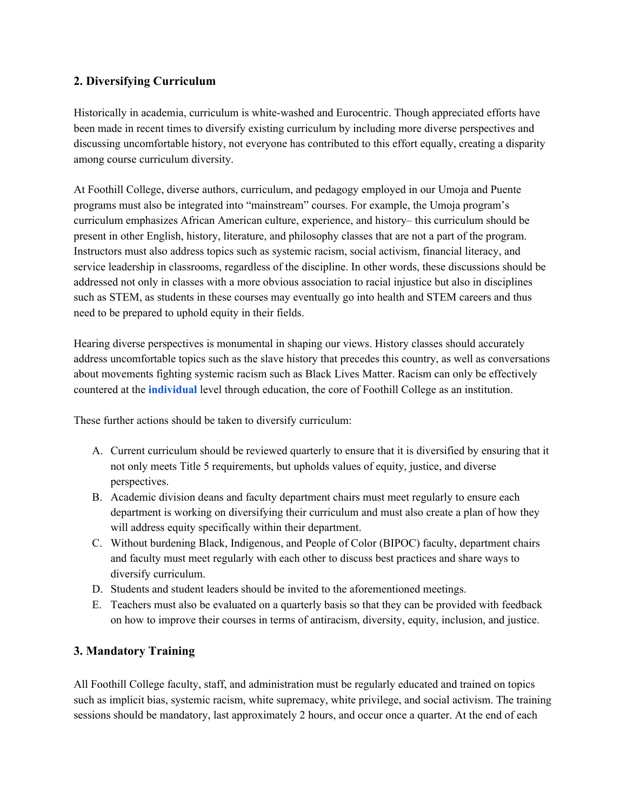# **2. Diversifying Curriculum**

Historically in academia, curriculum is white-washed and Eurocentric. Though appreciated efforts have been made in recent times to diversify existing curriculum by including more diverse perspectives and discussing uncomfortable history, not everyone has contributed to this effort equally, creating a disparity among course curriculum diversity.

At Foothill College, diverse authors, curriculum, and pedagogy employed in our Umoja and Puente programs must also be integrated into "mainstream" courses. For example, the Umoja program's curriculum emphasizes African American culture, experience, and history– this curriculum should be present in other English, history, literature, and philosophy classes that are not a part of the program. Instructors must also address topics such as systemic racism, social activism, financial literacy, and service leadership in classrooms, regardless of the discipline. In other words, these discussions should be addressed not only in classes with a more obvious association to racial injustice but also in disciplines such as STEM, as students in these courses may eventually go into health and STEM careers and thus need to be prepared to uphold equity in their fields.

Hearing diverse perspectives is monumental in shaping our views. History classes should accurately address uncomfortable topics such as the slave history that precedes this country, as well as conversations about movements fighting systemic racism such as Black Lives Matter. Racism can only be effectively countered at the **individual** level through education, the core of Foothill College as an institution.

These further actions should be taken to diversify curriculum:

- A. Current curriculum should be reviewed quarterly to ensure that it is diversified by ensuring that it not only meets Title 5 requirements, but upholds values of equity, justice, and diverse perspectives.
- B. Academic division deans and faculty department chairs must meet regularly to ensure each department is working on diversifying their curriculum and must also create a plan of how they will address equity specifically within their department.
- C. Without burdening Black, Indigenous, and People of Color (BIPOC) faculty, department chairs and faculty must meet regularly with each other to discuss best practices and share ways to diversify curriculum.
- D. Students and student leaders should be invited to the aforementioned meetings.
- E. Teachers must also be evaluated on a quarterly basis so that they can be provided with feedback on how to improve their courses in terms of antiracism, diversity, equity, inclusion, and justice.

# **3. Mandatory Training**

All Foothill College faculty, staff, and administration must be regularly educated and trained on topics such as implicit bias, systemic racism, white supremacy, white privilege, and social activism. The training sessions should be mandatory, last approximately 2 hours, and occur once a quarter. At the end of each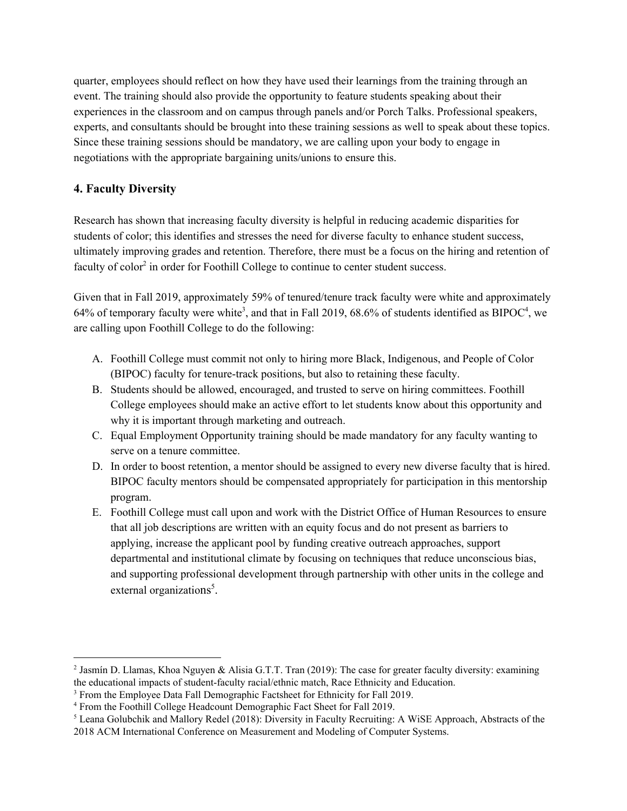quarter, employees should reflect on how they have used their learnings from the training through an event. The training should also provide the opportunity to feature students speaking about their experiences in the classroom and on campus through panels and/or Porch Talks. Professional speakers, experts, and consultants should be brought into these training sessions as well to speak about these topics. Since these training sessions should be mandatory, we are calling upon your body to engage in negotiations with the appropriate bargaining units/unions to ensure this.

# **4. Faculty Diversity**

Research has shown that increasing faculty diversity is helpful in reducing academic disparities for students of color; this identifies and stresses the need for diverse faculty to enhance student success, ultimately improving grades and retention. Therefore, there must be a focus on the hiring and retention of faculty of color<sup>2</sup> in order for Foothill College to continue to center student success.

Given that in Fall 2019, approximately 59% of tenured/tenure track faculty were white and approximately 64% of temporary faculty were white<sup>3</sup>, and that in Fall 2019, 68.6% of students identified as BIPOC<sup>4</sup>, we are calling upon Foothill College to do the following:

- A. Foothill College must commit not only to hiring more Black, Indigenous, and People of Color (BIPOC) faculty for tenure-track positions, but also to retaining these faculty.
- B. Students should be allowed, encouraged, and trusted to serve on hiring committees. Foothill College employees should make an active effort to let students know about this opportunity and why it is important through marketing and outreach.
- C. Equal Employment Opportunity training should be made mandatory for any faculty wanting to serve on a tenure committee.
- D. In order to boost retention, a mentor should be assigned to every new diverse faculty that is hired. BIPOC faculty mentors should be compensated appropriately for participation in this mentorship program.
- E. Foothill College must call upon and work with the District Office of Human Resources to ensure that all job descriptions are written with an equity focus and do not present as barriers to applying, increase the applicant pool by funding creative outreach approaches, support departmental and institutional climate by focusing on techniques that reduce unconscious bias, and supporting professional development through partnership with other units in the college and external organizations<sup>5</sup>.

<sup>&</sup>lt;sup>2</sup> Jasmín D. Llamas, Khoa Nguyen & Alisia G.T.T. Tran (2019): The case for greater faculty diversity: examining the educational impacts of student-faculty racial/ethnic match, Race Ethnicity and Education.

<sup>&</sup>lt;sup>3</sup> From the Employee Data Fall Demographic Factsheet for Ethnicity for Fall 2019.

<sup>4</sup> From the Foothill College Headcount Demographic Fact Sheet for Fall 2019.

<sup>5</sup> Leana Golubchik and Mallory Redel (2018): Diversity in Faculty Recruiting: A WiSE Approach, Abstracts of the 2018 ACM International Conference on Measurement and Modeling of Computer Systems.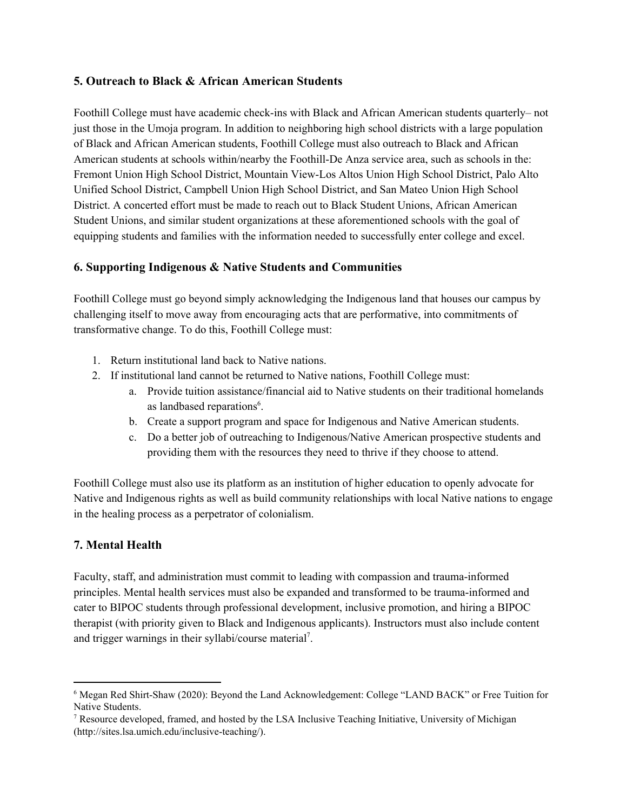# **5. Outreach to Black & African American Students**

Foothill College must have academic check-ins with Black and African American students quarterly– not just those in the Umoja program. In addition to neighboring high school districts with a large population of Black and African American students, Foothill College must also outreach to Black and African American students at schools within/nearby the Foothill-De Anza service area, such as schools in the: Fremont Union High School District, Mountain View-Los Altos Union High School District, Palo Alto Unified School District, Campbell Union High School District, and San Mateo Union High School District. A concerted effort must be made to reach out to Black Student Unions, African American Student Unions, and similar student organizations at these aforementioned schools with the goal of equipping students and families with the information needed to successfully enter college and excel.

# **6. Supporting Indigenous & Native Students and Communities**

Foothill College must go beyond simply acknowledging the Indigenous land that houses our campus by challenging itself to move away from encouraging acts that are performative, into commitments of transformative change. To do this, Foothill College must:

- 1. Return institutional land back to Native nations.
- 2. If institutional land cannot be returned to Native nations, Foothill College must:
	- a. Provide tuition assistance/financial aid to Native students on their traditional homelands as landbased reparations<sup>6</sup>.
	- b. Create a support program and space for Indigenous and Native American students.
	- c. Do a better job of outreaching to Indigenous/Native American prospective students and providing them with the resources they need to thrive if they choose to attend.

Foothill College must also use its platform as an institution of higher education to openly advocate for Native and Indigenous rights as well as build community relationships with local Native nations to engage in the healing process as a perpetrator of colonialism.

# **7. Mental Health**

Faculty, staff, and administration must commit to leading with compassion and trauma-informed principles. Mental health services must also be expanded and transformed to be trauma-informed and cater to BIPOC students through professional development, inclusive promotion, and hiring a BIPOC therapist (with priority given to Black and Indigenous applicants). Instructors must also include content and trigger warnings in their syllabi/course material<sup>7</sup>.

<sup>6</sup> Megan Red Shirt-Shaw (2020): Beyond the Land Acknowledgement: College "LAND BACK" or Free Tuition for Native Students.

<sup>&</sup>lt;sup>7</sup> Resource developed, framed, and hosted by the LSA Inclusive Teaching Initiative, University of Michigan (http://sites.lsa.umich.edu/inclusive-teaching/).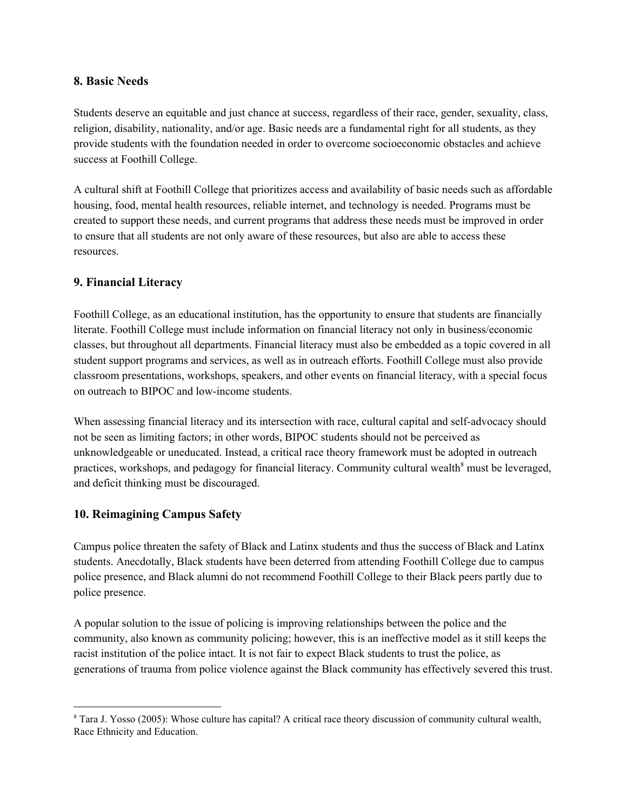### **8. Basic Needs**

Students deserve an equitable and just chance at success, regardless of their race, gender, sexuality, class, religion, disability, nationality, and/or age. Basic needs are a fundamental right for all students, as they provide students with the foundation needed in order to overcome socioeconomic obstacles and achieve success at Foothill College.

A cultural shift at Foothill College that prioritizes access and availability of basic needs such as affordable housing, food, mental health resources, reliable internet, and technology is needed. Programs must be created to support these needs, and current programs that address these needs must be improved in order to ensure that all students are not only aware of these resources, but also are able to access these resources.

# **9. Financial Literacy**

Foothill College, as an educational institution, has the opportunity to ensure that students are financially literate. Foothill College must include information on financial literacy not only in business/economic classes, but throughout all departments. Financial literacy must also be embedded as a topic covered in all student support programs and services, as well as in outreach efforts. Foothill College must also provide classroom presentations, workshops, speakers, and other events on financial literacy, with a special focus on outreach to BIPOC and low-income students.

When assessing financial literacy and its intersection with race, cultural capital and self-advocacy should not be seen as limiting factors; in other words, BIPOC students should not be perceived as unknowledgeable or uneducated. Instead, a critical race theory framework must be adopted in outreach practices, workshops, and pedagogy for financial literacy. Community cultural wealth<sup>8</sup> must be leveraged, and deficit thinking must be discouraged.

# **10. Reimagining Campus Safety**

Campus police threaten the safety of Black and Latinx students and thus the success of Black and Latinx students. Anecdotally, Black students have been deterred from attending Foothill College due to campus police presence, and Black alumni do not recommend Foothill College to their Black peers partly due to police presence.

A popular solution to the issue of policing is improving relationships between the police and the community, also known as community policing; however, this is an ineffective model as it still keeps the racist institution of the police intact. It is not fair to expect Black students to trust the police, as generations of trauma from police violence against the Black community has effectively severed this trust.

<sup>8</sup> Tara J. Yosso (2005): Whose culture has capital? A critical race theory discussion of community cultural wealth, Race Ethnicity and Education.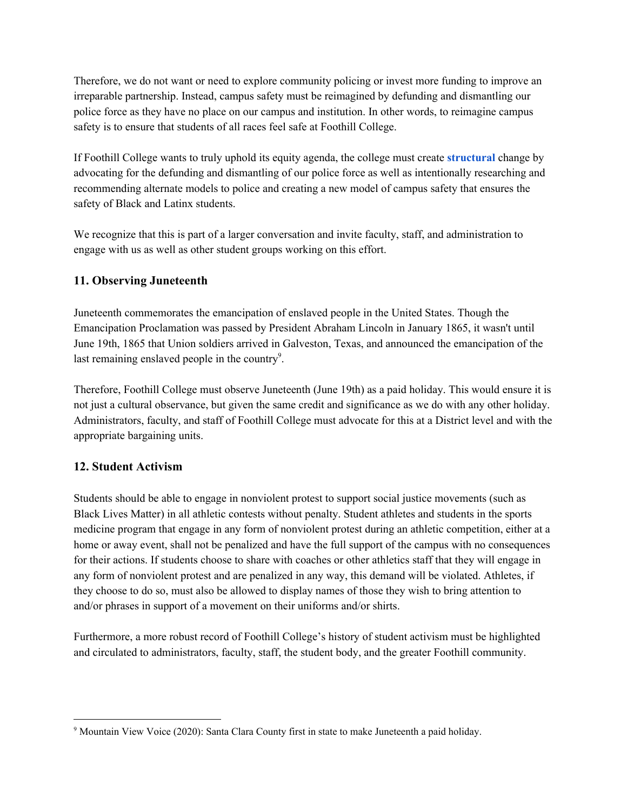Therefore, we do not want or need to explore community policing or invest more funding to improve an irreparable partnership. Instead, campus safety must be reimagined by defunding and dismantling our police force as they have no place on our campus and institution. In other words, to reimagine campus safety is to ensure that students of all races feel safe at Foothill College.

If Foothill College wants to truly uphold its equity agenda, the college must create **structural** change by advocating for the defunding and dismantling of our police force as well as intentionally researching and recommending alternate models to police and creating a new model of campus safety that ensures the safety of Black and Latinx students.

We recognize that this is part of a larger conversation and invite faculty, staff, and administration to engage with us as well as other student groups working on this effort.

# **11. Observing Juneteenth**

Juneteenth commemorates the emancipation of enslaved people in the United States. Though the Emancipation Proclamation was passed by President Abraham Lincoln in January 1865, it wasn't until June 19th, 1865 that Union soldiers arrived in Galveston, Texas, and announced the emancipation of the last remaining enslaved people in the country $9$ .

Therefore, Foothill College must observe Juneteenth (June 19th) as a paid holiday. This would ensure it is not just a cultural observance, but given the same credit and significance as we do with any other holiday. Administrators, faculty, and staff of Foothill College must advocate for this at a District level and with the appropriate bargaining units.

# **12. Student Activism**

Students should be able to engage in nonviolent protest to support social justice movements (such as Black Lives Matter) in all athletic contests without penalty. Student athletes and students in the sports medicine program that engage in any form of nonviolent protest during an athletic competition, either at a home or away event, shall not be penalized and have the full support of the campus with no consequences for their actions. If students choose to share with coaches or other athletics staff that they will engage in any form of nonviolent protest and are penalized in any way, this demand will be violated. Athletes, if they choose to do so, must also be allowed to display names of those they wish to bring attention to and/or phrases in support of a movement on their uniforms and/or shirts.

Furthermore, a more robust record of Foothill College's history of student activism must be highlighted and circulated to administrators, faculty, staff, the student body, and the greater Foothill community.

<sup>&</sup>lt;sup>9</sup> Mountain View Voice (2020): Santa Clara County first in state to make Juneteenth a paid holiday.